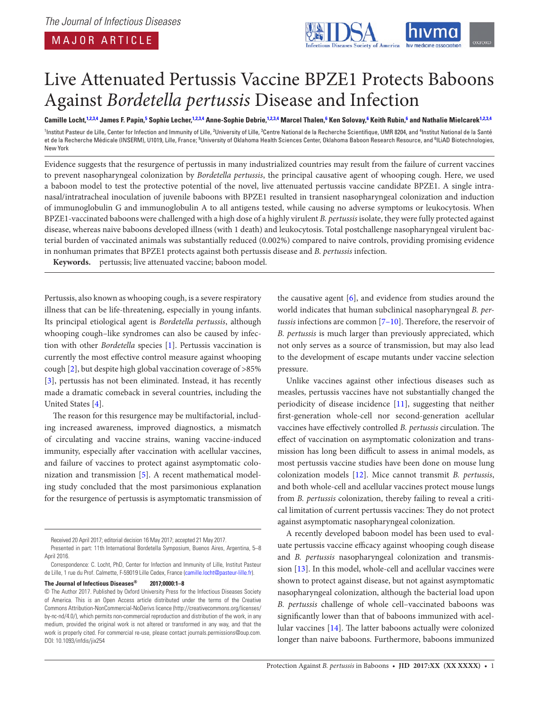<span id="page-0-5"></span><span id="page-0-3"></span><span id="page-0-2"></span>

# Live Attenuated Pertussis Vaccine BPZE1 Protects Baboons Against *Bordetella pertussis* Disease and Infection

Camille Locht,<sup>[1,](#page-0-0)[2](#page-0-1)[,3,](#page-0-2)[4](#page-0-3)</sup> James F. Papin,<sup>[5](#page-0-4)</sup> Sophie Lecher,<sup>[1](#page-0-0),2,[3](#page-0-2)[,4](#page-0-3)</sup> Anne-Sophie Debrie,<sup>1,2,3,4</sup> Marcel Thalen,<sup>[6](#page-0-5)</sup> Ken Solovay,<sup>6</sup> Keith Rubin,<sup>6</sup> and Nathalie Mielcarek<sup>1,2[,3](#page-0-2),4</sup>

<span id="page-0-4"></span><span id="page-0-1"></span><span id="page-0-0"></span><sup>1</sup>Institut Pasteur de Lille, Center for Infection and Immunity of Lille, <sup>2</sup>University of Lille, <sup>3</sup>Centre National de la Recherche Scientifique, UMR 8204, and <sup>4</sup>Institut National de la Santé et de la Recherche Médicale (INSERM), U1019, Lille, France; <sup>5</sup>University of Oklahoma Health Sciences Center, Oklahoma Baboon Research Resource, and <sup>6</sup>ILiAD Biotechnologies, New York

Evidence suggests that the resurgence of pertussis in many industrialized countries may result from the failure of current vaccines to prevent nasopharyngeal colonization by *Bordetella pertussis*, the principal causative agent of whooping cough. Here, we used a baboon model to test the protective potential of the novel, live attenuated pertussis vaccine candidate BPZE1. A single intranasal/intratracheal inoculation of juvenile baboons with BPZE1 resulted in transient nasopharyngeal colonization and induction of immunoglobulin G and immunoglobulin A to all antigens tested, while causing no adverse symptoms or leukocytosis. When BPZE1-vaccinated baboons were challenged with a high dose of a highly virulent *B. pertussis* isolate, they were fully protected against disease, whereas naive baboons developed illness (with 1 death) and leukocytosis. Total postchallenge nasopharyngeal virulent bacterial burden of vaccinated animals was substantially reduced (0.002%) compared to naive controls, providing promising evidence in nonhuman primates that BPZE1 protects against both pertussis disease and *B. pertussis* infection.

**Keywords.** pertussis; live attenuated vaccine; baboon model.

Pertussis, also known as whooping cough, is a severe respiratory illness that can be life-threatening, especially in young infants. Its principal etiological agent is *Bordetella pertussis*, although whooping cough–like syndromes can also be caused by infection with other *Bordetella* species [\[1\]](#page-7-0). Pertussis vaccination is currently the most effective control measure against whooping cough [[2](#page-7-1)], but despite high global vaccination coverage of >85% [\[3\]](#page-7-2), pertussis has not been eliminated. Instead, it has recently made a dramatic comeback in several countries, including the United States [\[4\]](#page-7-3).

The reason for this resurgence may be multifactorial, including increased awareness, improved diagnostics, a mismatch of circulating and vaccine strains, waning vaccine-induced immunity, especially after vaccination with acellular vaccines, and failure of vaccines to protect against asymptomatic colonization and transmission [\[5\]](#page-7-4). A recent mathematical modeling study concluded that the most parsimonious explanation for the resurgence of pertussis is asymptomatic transmission of

#### **The Journal of Infectious Diseases® 2017;0000:1–8**

the causative agent [[6\]](#page-7-5), and evidence from studies around the world indicates that human subclinical nasopharyngeal *B. pertussis* infections are common [[7–10](#page-7-6)]. Therefore, the reservoir of *B. pertussis* is much larger than previously appreciated, which not only serves as a source of transmission, but may also lead to the development of escape mutants under vaccine selection pressure.

Unlike vaccines against other infectious diseases such as measles, pertussis vaccines have not substantially changed the periodicity of disease incidence [\[11](#page-7-7)], suggesting that neither first-generation whole-cell nor second-generation acellular vaccines have effectively controlled *B. pertussis* circulation. The effect of vaccination on asymptomatic colonization and transmission has long been difficult to assess in animal models, as most pertussis vaccine studies have been done on mouse lung colonization models [[12\]](#page-7-8). Mice cannot transmit *B. pertussis*, and both whole-cell and acellular vaccines protect mouse lungs from *B. pertussis* colonization, thereby failing to reveal a critical limitation of current pertussis vaccines: They do not protect against asymptomatic nasopharyngeal colonization.

A recently developed baboon model has been used to evaluate pertussis vaccine efficacy against whooping cough disease and *B. pertussis* nasopharyngeal colonization and transmission [[13\]](#page-7-9). In this model, whole-cell and acellular vaccines were shown to protect against disease, but not against asymptomatic nasopharyngeal colonization, although the bacterial load upon *B. pertussis* challenge of whole cell–vaccinated baboons was significantly lower than that of baboons immunized with acellular vaccines [[14](#page-7-10)]. The latter baboons actually were colonized longer than naive baboons. Furthermore, baboons immunized

Received 20 April 2017; editorial decision 16 May 2017; accepted 21 May 2017.

Presented in part: 11th International Bordetella Symposium, Buenos Aires, Argentina, 5–8 April 2016.

Correspondence: C. Locht, PhD, Center for Infection and Immunity of Lille, Institut Pasteur de Lille, 1 rue du Prof. Calmette, F-59019 Lille Cedex, France [\(camille.locht@pasteur-lille.fr\)](mailto:camille.locht@pasteur-lille.fr?subject=).

<sup>©</sup> The Author 2017. Published by Oxford University Press for the Infectious Diseases Society of America. This is an Open Access article distributed under the terms of the Creative Commons Attribution-NonCommercial-NoDerivs licence (http://creativecommons.org/licenses/ by-nc-nd/4.0/), which permits non-commercial reproduction and distribution of the work, in any medium, provided the original work is not altered or transformed in any way, and that the work is properly cited. For commercial re-use, please contact journals.permissions@oup.com. DOI: 10.1093/infdis/jix254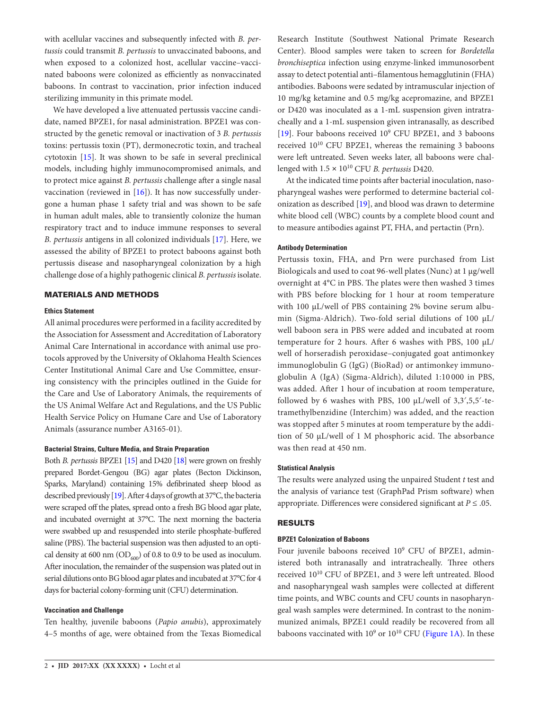with acellular vaccines and subsequently infected with *B. pertussis* could transmit *B. pertussis* to unvaccinated baboons, and when exposed to a colonized host, acellular vaccine–vaccinated baboons were colonized as efficiently as nonvaccinated baboons. In contrast to vaccination, prior infection induced sterilizing immunity in this primate model.

We have developed a live attenuated pertussis vaccine candidate, named BPZE1, for nasal administration. BPZE1 was constructed by the genetic removal or inactivation of 3 *B. pertussis* toxins: pertussis toxin (PT), dermonecrotic toxin, and tracheal cytotoxin [[15\]](#page-7-11). It was shown to be safe in several preclinical models, including highly immunocompromised animals, and to protect mice against *B. pertussis* challenge after a single nasal vaccination (reviewed in [\[16](#page-7-12)]). It has now successfully undergone a human phase 1 safety trial and was shown to be safe in human adult males, able to transiently colonize the human respiratory tract and to induce immune responses to several *B. pertussis* antigens in all colonized individuals [\[17](#page-7-13)]. Here, we assessed the ability of BPZE1 to protect baboons against both pertussis disease and nasopharyngeal colonization by a high challenge dose of a highly pathogenic clinical *B. pertussis* isolate.

## MATERIALS AND METHODS

## **Ethics Statement**

All animal procedures were performed in a facility accredited by the Association for Assessment and Accreditation of Laboratory Animal Care International in accordance with animal use protocols approved by the University of Oklahoma Health Sciences Center Institutional Animal Care and Use Committee, ensuring consistency with the principles outlined in the Guide for the Care and Use of Laboratory Animals, the requirements of the US Animal Welfare Act and Regulations, and the US Public Health Service Policy on Humane Care and Use of Laboratory Animals (assurance number A3165-01).

## **Bacterial Strains, Culture Media, and Strain Preparation**

Both *B. pertussis* BPZE1 [\[15\]](#page-7-11) and D420 [\[18](#page-7-14)] were grown on freshly prepared Bordet-Gengou (BG) agar plates (Becton Dickinson, Sparks, Maryland) containing 15% defibrinated sheep blood as described previously [\[19](#page-7-15)]. After 4 days of growth at 37°C, the bacteria were scraped off the plates, spread onto a fresh BG blood agar plate, and incubated overnight at 37°C. The next morning the bacteria were swabbed up and resuspended into sterile phosphate-buffered saline (PBS). The bacterial suspension was then adjusted to an optical density at 600 nm ( $OD<sub>600</sub>$ ) of 0.8 to 0.9 to be used as inoculum. After inoculation, the remainder of the suspension was plated out in serial dilutions onto BG blood agar plates and incubated at 37°C for 4 days for bacterial colony-forming unit (CFU) determination.

## **Vaccination and Challenge**

Ten healthy, juvenile baboons (*Papio anubis*), approximately 4–5 months of age, were obtained from the Texas Biomedical

Research Institute (Southwest National Primate Research Center). Blood samples were taken to screen for *Bordetella bronchiseptica* infection using enzyme-linked immunosorbent assay to detect potential anti–filamentous hemagglutinin (FHA) antibodies. Baboons were sedated by intramuscular injection of 10 mg/kg ketamine and 0.5 mg/kg acepromazine, and BPZE1 or D420 was inoculated as a 1-mL suspension given intratracheally and a 1-mL suspension given intranasally, as described [\[19](#page-7-15)]. Four baboons received 10<sup>9</sup> CFU BPZE1, and 3 baboons received 1010 CFU BPZE1, whereas the remaining 3 baboons were left untreated. Seven weeks later, all baboons were challenged with 1.5 × 1010 CFU *B. pertussis* D420.

At the indicated time points after bacterial inoculation, nasopharyngeal washes were performed to determine bacterial colonization as described [\[19](#page-7-15)], and blood was drawn to determine white blood cell (WBC) counts by a complete blood count and to measure antibodies against PT, FHA, and pertactin (Prn).

### **Antibody Determination**

Pertussis toxin, FHA, and Prn were purchased from List Biologicals and used to coat 96-well plates (Nunc) at 1 µg/well overnight at 4°C in PBS. The plates were then washed 3 times with PBS before blocking for 1 hour at room temperature with 100 µL/well of PBS containing 2% bovine serum albumin (Sigma-Aldrich). Two-fold serial dilutions of 100 µL/ well baboon sera in PBS were added and incubated at room temperature for 2 hours. After 6 washes with PBS, 100 µL/ well of horseradish peroxidase–conjugated goat antimonkey immunoglobulin G (IgG) (BioRad) or antimonkey immunoglobulin A (IgA) (Sigma-Aldrich), diluted 1:10 000 in PBS, was added. After 1 hour of incubation at room temperature, followed by 6 washes with PBS, 100  $\mu$ L/well of 3,3',5,5'-tetramethylbenzidine (Interchim) was added, and the reaction was stopped after 5 minutes at room temperature by the addition of 50 µL/well of 1 M phosphoric acid. The absorbance was then read at 450 nm.

## **Statistical Analysis**

The results were analyzed using the unpaired Student *t* test and the analysis of variance test (GraphPad Prism software) when appropriate. Differences were considered significant at *P* ≤ .05.

# RESULTS

### **BPZE1 Colonization of Baboons**

Four juvenile baboons received 10<sup>9</sup> CFU of BPZE1, administered both intranasally and intratracheally. Three others received 1010 CFU of BPZE1, and 3 were left untreated. Blood and nasopharyngeal wash samples were collected at different time points, and WBC counts and CFU counts in nasopharyngeal wash samples were determined. In contrast to the nonimmunized animals, BPZE1 could readily be recovered from all baboons vaccinated with  $10^9$  or  $10^{10}$  CFU [\(Figure 1A\)](#page-2-0). In these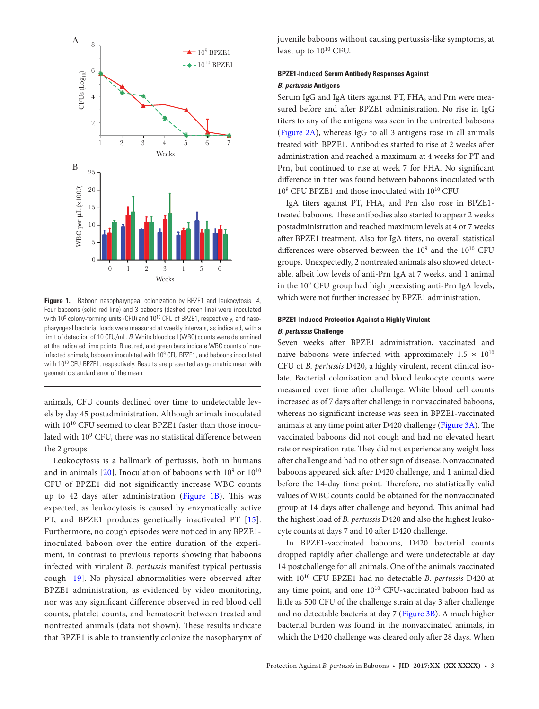

<span id="page-2-0"></span>**Figure 1.** Baboon nasopharyngeal colonization by BPZE1 and leukocytosis. *A*, Four baboons (solid red line) and 3 baboons (dashed green line) were inoculated with 10<sup>9</sup> colony-forming units (CFU) and 10<sup>10</sup> CFU of BPZE1, respectively, and nasopharyngeal bacterial loads were measured at weekly intervals, as indicated, with a limit of detection of 10 CFU/mL. *B*, White blood cell (WBC) counts were determined at the indicated time points. Blue, red, and green bars indicate WBC counts of noninfected animals, baboons inoculated with 109 CFU BPZE1, and baboons inoculated with 10<sup>10</sup> CFU BPZE1, respectively. Results are presented as geometric mean with geometric standard error of the mean.

animals, CFU counts declined over time to undetectable levels by day 45 postadministration. Although animals inoculated with 1010 CFU seemed to clear BPZE1 faster than those inoculated with 10<sup>9</sup> CFU, there was no statistical difference between the 2 groups.

Leukocytosis is a hallmark of pertussis, both in humans and in animals [[20](#page-7-16)]. Inoculation of baboons with  $10^9$  or  $10^{10}\,$ CFU of BPZE1 did not significantly increase WBC counts up to 42 days after administration ([Figure 1B\)](#page-2-0). This was expected, as leukocytosis is caused by enzymatically active PT, and BPZE1 produces genetically inactivated PT [[15](#page-7-11)]. Furthermore, no cough episodes were noticed in any BPZE1 inoculated baboon over the entire duration of the experiment, in contrast to previous reports showing that baboons infected with virulent *B. pertussis* manifest typical pertussis cough [\[19\]](#page-7-15). No physical abnormalities were observed after BPZE1 administration, as evidenced by video monitoring, nor was any significant difference observed in red blood cell counts, platelet counts, and hematocrit between treated and nontreated animals (data not shown). These results indicate that BPZE1 is able to transiently colonize the nasopharynx of juvenile baboons without causing pertussis-like symptoms, at least up to 1010 CFU.

# **BPZE1-Induced Serum Antibody Responses Against**  *B. pertussis* **Antigens**

Serum IgG and IgA titers against PT, FHA, and Prn were measured before and after BPZE1 administration. No rise in IgG titers to any of the antigens was seen in the untreated baboons [\(Figure 2A](#page-3-0)), whereas IgG to all 3 antigens rose in all animals treated with BPZE1. Antibodies started to rise at 2 weeks after administration and reached a maximum at 4 weeks for PT and Prn, but continued to rise at week 7 for FHA. No significant difference in titer was found between baboons inoculated with 109 CFU BPZE1 and those inoculated with 1010 CFU.

IgA titers against PT, FHA, and Prn also rose in BPZE1 treated baboons. These antibodies also started to appear 2 weeks postadministration and reached maximum levels at 4 or 7 weeks after BPZE1 treatment. Also for IgA titers, no overall statistical differences were observed between the  $10^9$  and the  $10^{10}$  CFU groups. Unexpectedly, 2 nontreated animals also showed detectable, albeit low levels of anti-Prn IgA at 7 weeks, and 1 animal in the 109 CFU group had high preexisting anti-Prn IgA levels, which were not further increased by BPZE1 administration.

# **BPZE1-Induced Protection Against a Highly Virulent**  *B. pertussis* **Challenge**

Seven weeks after BPZE1 administration, vaccinated and naive baboons were infected with approximately  $1.5 \times 10^{10}$ CFU of *B. pertussis* D420, a highly virulent, recent clinical isolate. Bacterial colonization and blood leukocyte counts were measured over time after challenge. White blood cell counts increased as of 7 days after challenge in nonvaccinated baboons, whereas no significant increase was seen in BPZE1-vaccinated animals at any time point after D420 challenge ([Figure 3A](#page-4-0)). The vaccinated baboons did not cough and had no elevated heart rate or respiration rate. They did not experience any weight loss after challenge and had no other sign of disease. Nonvaccinated baboons appeared sick after D420 challenge, and 1 animal died before the 14-day time point. Therefore, no statistically valid values of WBC counts could be obtained for the nonvaccinated group at 14 days after challenge and beyond. This animal had the highest load of *B. pertussis* D420 and also the highest leukocyte counts at days 7 and 10 after D420 challenge.

In BPZE1-vaccinated baboons, D420 bacterial counts dropped rapidly after challenge and were undetectable at day 14 postchallenge for all animals. One of the animals vaccinated with 1010 CFU BPZE1 had no detectable *B. pertussis* D420 at any time point, and one  $10^{10}$  CFU-vaccinated baboon had as little as 500 CFU of the challenge strain at day 3 after challenge and no detectable bacteria at day 7 ([Figure 3B\)](#page-4-0). A much higher bacterial burden was found in the nonvaccinated animals, in which the D420 challenge was cleared only after 28 days. When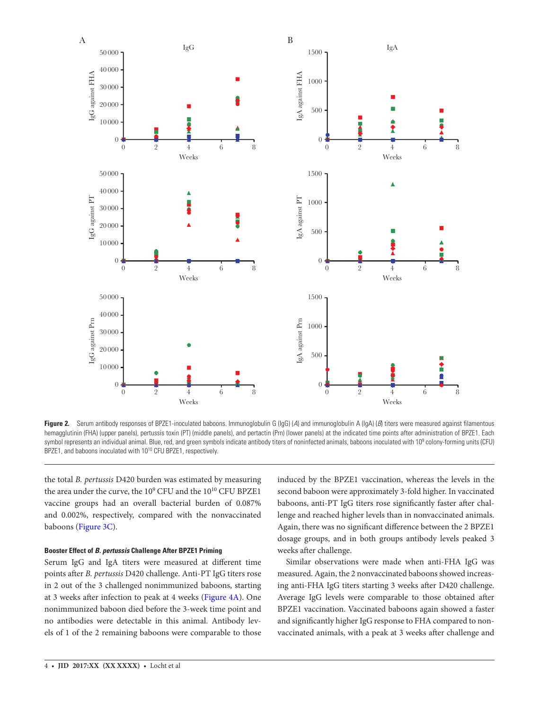

<span id="page-3-0"></span>Figure 2. Serum antibody responses of BPZE1-inoculated baboons. Immunoglobulin G (IgG) (A) and immunoglobulin A (IgA) (B) titers were measured against filamentous hemagglutinin (FHA) (upper panels), pertussis toxin (PT) (middle panels), and pertactin (Prn) (lower panels) at the indicated time points after administration of BPZE1. Each symbol represents an individual animal. Blue, red, and green symbols indicate antibody titers of noninfected animals, baboons inoculated with 10<sup>9</sup> colony-forming units (CFU) BPZE1, and baboons inoculated with 10<sup>10</sup> CFU BPZE1, respectively.

the total *B. pertussis* D420 burden was estimated by measuring the area under the curve, the  $10^9$  CFU and the  $10^{10}$  CFU BPZE1 vaccine groups had an overall bacterial burden of 0.087% and 0.002%, respectively, compared with the nonvaccinated baboons ([Figure 3C](#page-4-0)).

# **Booster Effect of** *B. pertussis* **Challenge After BPZE1 Priming**

Serum IgG and IgA titers were measured at different time points after *B. pertussis* D420 challenge. Anti-PT IgG titers rose in 2 out of the 3 challenged nonimmunized baboons, starting at 3 weeks after infection to peak at 4 weeks [\(Figure 4A](#page-5-0)). One nonimmunized baboon died before the 3-week time point and no antibodies were detectable in this animal. Antibody levels of 1 of the 2 remaining baboons were comparable to those

induced by the BPZE1 vaccination, whereas the levels in the second baboon were approximately 3-fold higher. In vaccinated baboons, anti-PT IgG titers rose significantly faster after challenge and reached higher levels than in nonvaccinated animals. Again, there was no significant difference between the 2 BPZE1 dosage groups, and in both groups antibody levels peaked 3 weeks after challenge.

Similar observations were made when anti-FHA IgG was measured. Again, the 2 nonvaccinated baboons showed increasing anti-FHA IgG titers starting 3 weeks after D420 challenge. Average IgG levels were comparable to those obtained after BPZE1 vaccination. Vaccinated baboons again showed a faster and significantly higher IgG response to FHA compared to nonvaccinated animals, with a peak at 3 weeks after challenge and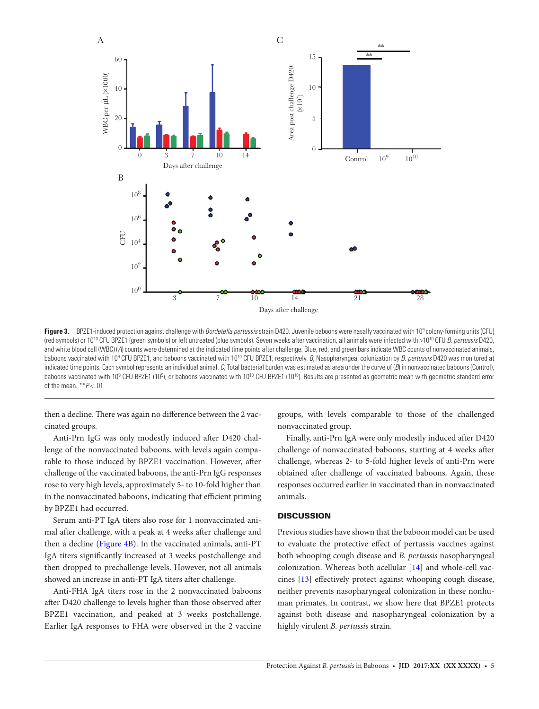

<span id="page-4-0"></span>**Figure 3.** BPZE1-induced protection against challenge with *Bordetella pertussis* strain D420. Juvenile baboons were nasally vaccinated with 109 colony-forming units (CFU) (red symbols) or 1010 CFU BPZE1 (green symbols) or left untreated (blue symbols). Seven weeks after vaccination, all animals were infected with >1010 CFU *B. pertussis* D420, and white blood cell (WBC) (*A*) counts were determined at the indicated time points after challenge. Blue, red, and green bars indicate WBC counts of nonvaccinated animals, baboons vaccinated with 109 CFU BPZE1, and baboons vaccinated with 1010 CFU BPZE1, respectively. *B*, Nasopharyngeal colonization by *B. pertussis* D420 was monitored at indicated time points. Each symbol represents an individual animal. *C*, Total bacterial burden was estimated as area under the curve of (*B*) in nonvaccinated baboons (Control), baboons vaccinated with 10<sup>9</sup> CFU BPZE1 (10<sup>9</sup>), or baboons vaccinated with 10<sup>10</sup> CFU BPZE1 (10<sup>10</sup>). Results are presented as geometric mean with geometric standard error of the mean. \*\**P* < .01.

then a decline. There was again no difference between the 2 vaccinated groups.

Anti-Prn IgG was only modestly induced after D420 challenge of the nonvaccinated baboons, with levels again comparable to those induced by BPZE1 vaccination. However, after challenge of the vaccinated baboons, the anti-Prn IgG responses rose to very high levels, approximately 5- to 10-fold higher than in the nonvaccinated baboons, indicating that efficient priming by BPZE1 had occurred.

Serum anti-PT IgA titers also rose for 1 nonvaccinated animal after challenge, with a peak at 4 weeks after challenge and then a decline [\(Figure 4B\)](#page-5-0). In the vaccinated animals, anti-PT IgA titers significantly increased at 3 weeks postchallenge and then dropped to prechallenge levels. However, not all animals showed an increase in anti-PT IgA titers after challenge.

Anti-FHA IgA titers rose in the 2 nonvaccinated baboons after D420 challenge to levels higher than those observed after BPZE1 vaccination, and peaked at 3 weeks postchallenge. Earlier IgA responses to FHA were observed in the 2 vaccine

groups, with levels comparable to those of the challenged nonvaccinated group.

Finally, anti-Prn IgA were only modestly induced after D420 challenge of nonvaccinated baboons, starting at 4 weeks after challenge, whereas 2- to 5-fold higher levels of anti-Prn were obtained after challenge of vaccinated baboons. Again, these responses occurred earlier in vaccinated than in nonvaccinated animals.

# **DISCUSSION**

Previous studies have shown that the baboon model can be used to evaluate the protective effect of pertussis vaccines against both whooping cough disease and *B. pertussis* nasopharyngeal colonization. Whereas both acellular [[14](#page-7-10)] and whole-cell vaccines [[13\]](#page-7-9) effectively protect against whooping cough disease, neither prevents nasopharyngeal colonization in these nonhuman primates. In contrast, we show here that BPZE1 protects against both disease and nasopharyngeal colonization by a highly virulent *B. pertussis* strain.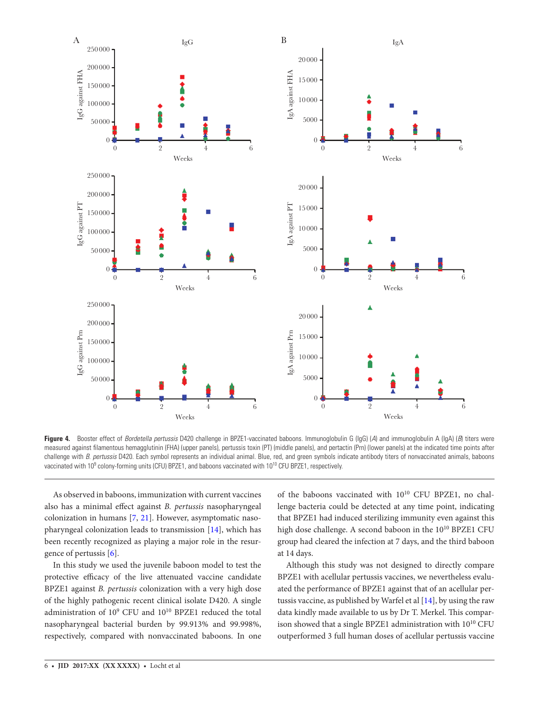

<span id="page-5-0"></span>**Figure 4.** Booster effect of *Bordetella pertussis* D420 challenge in BPZE1-vaccinated baboons. Immunoglobulin G (IgG) (*A*) and immunoglobulin A (IgA) (*B*) titers were measured against filamentous hemagglutinin (FHA) (upper panels), pertussis toxin (PT) (middle panels), and pertactin (Prn) (lower panels) at the indicated time points after challenge with *B. pertussis* D420. Each symbol represents an individual animal. Blue, red, and green symbols indicate antibody titers of nonvaccinated animals, baboons vaccinated with 10<sup>9</sup> colony-forming units (CFU) BPZE1, and baboons vaccinated with 10<sup>10</sup> CFU BPZE1, respectively.

As observed in baboons, immunization with current vaccines also has a minimal effect against *B. pertussis* nasopharyngeal colonization in humans [[7](#page-7-6), [21](#page-7-17)]. However, asymptomatic nasopharyngeal colonization leads to transmission [[14\]](#page-7-10), which has been recently recognized as playing a major role in the resurgence of pertussis [\[6\]](#page-7-5).

In this study we used the juvenile baboon model to test the protective efficacy of the live attenuated vaccine candidate BPZE1 against *B. pertussis* colonization with a very high dose of the highly pathogenic recent clinical isolate D420. A single administration of 10<sup>9</sup> CFU and 10<sup>10</sup> BPZE1 reduced the total nasopharyngeal bacterial burden by 99.913% and 99.998%, respectively, compared with nonvaccinated baboons. In one

of the baboons vaccinated with  $10^{10}$  CFU BPZE1, no challenge bacteria could be detected at any time point, indicating that BPZE1 had induced sterilizing immunity even against this high dose challenge. A second baboon in the 10<sup>10</sup> BPZE1 CFU group had cleared the infection at 7 days, and the third baboon at 14 days.

Although this study was not designed to directly compare BPZE1 with acellular pertussis vaccines, we nevertheless evaluated the performance of BPZE1 against that of an acellular pertussis vaccine, as published by Warfel et al [\[14\]](#page-7-10), by using the raw data kindly made available to us by Dr T. Merkel. This comparison showed that a single BPZE1 administration with 1010 CFU outperformed 3 full human doses of acellular pertussis vaccine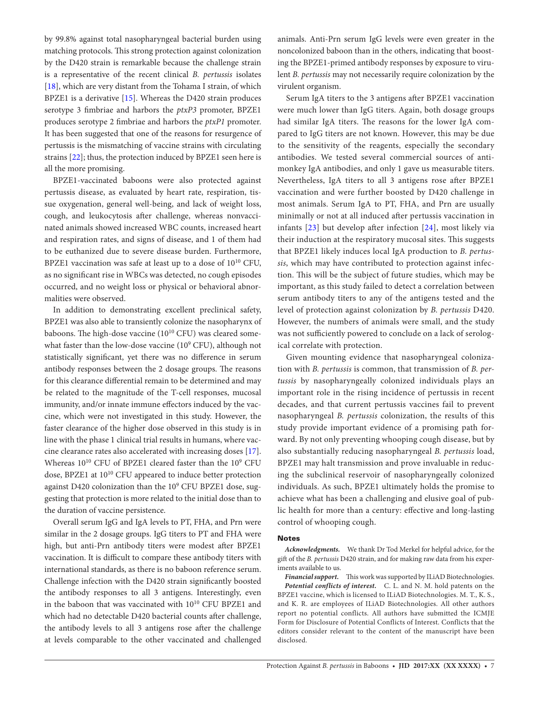by 99.8% against total nasopharyngeal bacterial burden using matching protocols. This strong protection against colonization by the D420 strain is remarkable because the challenge strain is a representative of the recent clinical *B. pertussis* isolates [\[18](#page-7-14)], which are very distant from the Tohama I strain, of which BPZE1 is a derivative  $[15]$  $[15]$ . Whereas the D420 strain produces serotype 3 fimbriae and harbors the *ptxP3* promoter, BPZE1 produces serotype 2 fimbriae and harbors the *ptxP1* promoter. It has been suggested that one of the reasons for resurgence of pertussis is the mismatching of vaccine strains with circulating strains [\[22\]](#page-7-18); thus, the protection induced by BPZE1 seen here is all the more promising.

BPZE1-vaccinated baboons were also protected against pertussis disease, as evaluated by heart rate, respiration, tissue oxygenation, general well-being, and lack of weight loss, cough, and leukocytosis after challenge, whereas nonvaccinated animals showed increased WBC counts, increased heart and respiration rates, and signs of disease, and 1 of them had to be euthanized due to severe disease burden. Furthermore, BPZE1 vaccination was safe at least up to a dose of  $10^{10}$  CFU, as no significant rise in WBCs was detected, no cough episodes occurred, and no weight loss or physical or behavioral abnormalities were observed.

In addition to demonstrating excellent preclinical safety, BPZE1 was also able to transiently colonize the nasopharynx of baboons. The high-dose vaccine  $(10^{10} CFU)$  was cleared somewhat faster than the low-dose vaccine (10<sup>9</sup> CFU), although not statistically significant, yet there was no difference in serum antibody responses between the 2 dosage groups. The reasons for this clearance differential remain to be determined and may be related to the magnitude of the T-cell responses, mucosal immunity, and/or innate immune effectors induced by the vaccine, which were not investigated in this study. However, the faster clearance of the higher dose observed in this study is in line with the phase 1 clinical trial results in humans, where vaccine clearance rates also accelerated with increasing doses [\[17\]](#page-7-13). Whereas 10<sup>10</sup> CFU of BPZE1 cleared faster than the 10<sup>9</sup> CFU dose, BPZE1 at  $10^{10}$  CFU appeared to induce better protection against D420 colonization than the 10<sup>9</sup> CFU BPZE1 dose, suggesting that protection is more related to the initial dose than to the duration of vaccine persistence.

Overall serum IgG and IgA levels to PT, FHA, and Prn were similar in the 2 dosage groups. IgG titers to PT and FHA were high, but anti-Prn antibody titers were modest after BPZE1 vaccination. It is difficult to compare these antibody titers with international standards, as there is no baboon reference serum. Challenge infection with the D420 strain significantly boosted the antibody responses to all 3 antigens. Interestingly, even in the baboon that was vaccinated with 1010 CFU BPZE1 and which had no detectable D420 bacterial counts after challenge, the antibody levels to all 3 antigens rose after the challenge at levels comparable to the other vaccinated and challenged

animals. Anti-Prn serum IgG levels were even greater in the noncolonized baboon than in the others, indicating that boosting the BPZE1-primed antibody responses by exposure to virulent *B. pertussis* may not necessarily require colonization by the virulent organism.

Serum IgA titers to the 3 antigens after BPZE1 vaccination were much lower than IgG titers. Again, both dosage groups had similar IgA titers. The reasons for the lower IgA compared to IgG titers are not known. However, this may be due to the sensitivity of the reagents, especially the secondary antibodies. We tested several commercial sources of antimonkey IgA antibodies, and only 1 gave us measurable titers. Nevertheless, IgA titers to all 3 antigens rose after BPZE1 vaccination and were further boosted by D420 challenge in most animals. Serum IgA to PT, FHA, and Prn are usually minimally or not at all induced after pertussis vaccination in infants [[23](#page-7-19)] but develop after infection [\[24\]](#page-7-20), most likely via their induction at the respiratory mucosal sites. This suggests that BPZE1 likely induces local IgA production to *B. pertussis*, which may have contributed to protection against infection. This will be the subject of future studies, which may be important, as this study failed to detect a correlation between serum antibody titers to any of the antigens tested and the level of protection against colonization by *B. pertussis* D420. However, the numbers of animals were small, and the study was not sufficiently powered to conclude on a lack of serological correlate with protection.

Given mounting evidence that nasopharyngeal colonization with *B. pertussis* is common, that transmission of *B. pertussis* by nasopharyngeally colonized individuals plays an important role in the rising incidence of pertussis in recent decades, and that current pertussis vaccines fail to prevent nasopharyngeal *B. pertussis* colonization, the results of this study provide important evidence of a promising path forward. By not only preventing whooping cough disease, but by also substantially reducing nasopharyngeal *B. pertussis* load, BPZE1 may halt transmission and prove invaluable in reducing the subclinical reservoir of nasopharyngeally colonized individuals. As such, BPZE1 ultimately holds the promise to achieve what has been a challenging and elusive goal of public health for more than a century: effective and long-lasting control of whooping cough.

#### **Notes**

*Acknowledgments.* We thank Dr Tod Merkel for helpful advice, for the gift of the *B. pertussis* D420 strain, and for making raw data from his experiments available to us.

*Financial support.* This work was supported by ILiAD Biotechnologies. *Potential conflicts of interest.* C. L. and N. M. hold patents on the BPZE1 vaccine, which is licensed to ILiAD Biotechnologies. M. T., K. S., and K. R. are employees of ILiAD Biotechnologies. All other authors report no potential conflicts. All authors have submitted the ICMJE Form for Disclosure of Potential Conflicts of Interest. Conflicts that the editors consider relevant to the content of the manuscript have been disclosed.